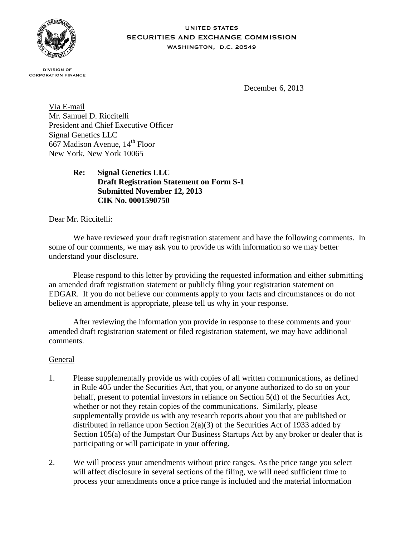

#### **UNITED STATES** SECURITIES AND EXCHANGE COMMISSION WASHINGTON, D.C. 20549

**DIVISION OF CORPORATION FINANCE** 

December 6, 2013

Via E-mail Mr. Samuel D. Riccitelli President and Chief Executive Officer Signal Genetics LLC 667 Madison Avenue,  $14^{th}$  Floor New York, New York 10065

# **Re: Signal Genetics LLC Draft Registration Statement on Form S-1 Submitted November 12, 2013 CIK No. 0001590750**

Dear Mr. Riccitelli:

We have reviewed your draft registration statement and have the following comments. In some of our comments, we may ask you to provide us with information so we may better understand your disclosure.

Please respond to this letter by providing the requested information and either submitting an amended draft registration statement or publicly filing your registration statement on EDGAR. If you do not believe our comments apply to your facts and circumstances or do not believe an amendment is appropriate, please tell us why in your response.

After reviewing the information you provide in response to these comments and your amended draft registration statement or filed registration statement, we may have additional comments.

### General

- 1. Please supplementally provide us with copies of all written communications, as defined in Rule 405 under the Securities Act, that you, or anyone authorized to do so on your behalf, present to potential investors in reliance on Section 5(d) of the Securities Act, whether or not they retain copies of the communications. Similarly, please supplementally provide us with any research reports about you that are published or distributed in reliance upon Section 2(a)(3) of the Securities Act of 1933 added by Section 105(a) of the Jumpstart Our Business Startups Act by any broker or dealer that is participating or will participate in your offering.
- 2. We will process your amendments without price ranges. As the price range you select will affect disclosure in several sections of the filing, we will need sufficient time to process your amendments once a price range is included and the material information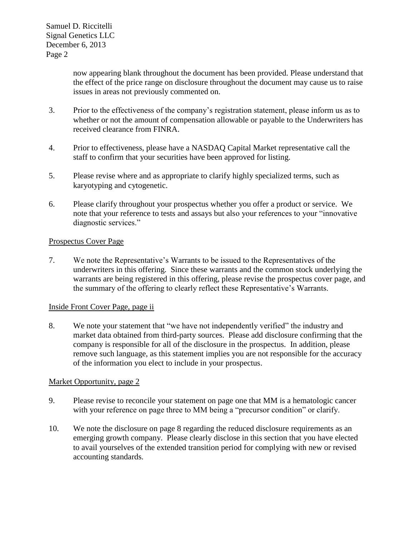> now appearing blank throughout the document has been provided. Please understand that the effect of the price range on disclosure throughout the document may cause us to raise issues in areas not previously commented on.

- 3. Prior to the effectiveness of the company's registration statement, please inform us as to whether or not the amount of compensation allowable or payable to the Underwriters has received clearance from FINRA.
- 4. Prior to effectiveness, please have a NASDAQ Capital Market representative call the staff to confirm that your securities have been approved for listing.
- 5. Please revise where and as appropriate to clarify highly specialized terms, such as karyotyping and cytogenetic.
- 6. Please clarify throughout your prospectus whether you offer a product or service. We note that your reference to tests and assays but also your references to your "innovative diagnostic services."

### Prospectus Cover Page

7. We note the Representative's Warrants to be issued to the Representatives of the underwriters in this offering. Since these warrants and the common stock underlying the warrants are being registered in this offering, please revise the prospectus cover page, and the summary of the offering to clearly reflect these Representative's Warrants.

### Inside Front Cover Page, page ii

8. We note your statement that "we have not independently verified" the industry and market data obtained from third-party sources. Please add disclosure confirming that the company is responsible for all of the disclosure in the prospectus. In addition, please remove such language, as this statement implies you are not responsible for the accuracy of the information you elect to include in your prospectus.

### Market Opportunity, page 2

- 9. Please revise to reconcile your statement on page one that MM is a hematologic cancer with your reference on page three to MM being a "precursor condition" or clarify.
- 10. We note the disclosure on page 8 regarding the reduced disclosure requirements as an emerging growth company. Please clearly disclose in this section that you have elected to avail yourselves of the extended transition period for complying with new or revised accounting standards.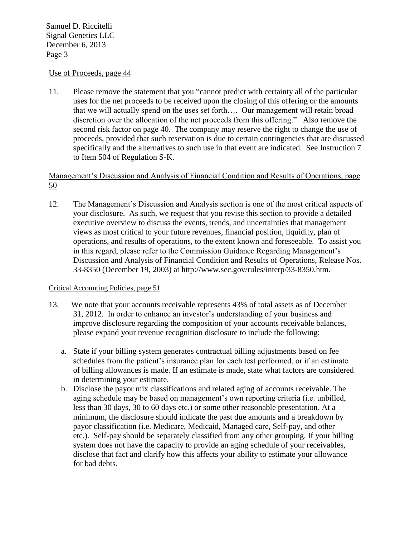### Use of Proceeds, page 44

11. Please remove the statement that you "cannot predict with certainty all of the particular uses for the net proceeds to be received upon the closing of this offering or the amounts that we will actually spend on the uses set forth…. Our management will retain broad discretion over the allocation of the net proceeds from this offering." Also remove the second risk factor on page 40. The company may reserve the right to change the use of proceeds, provided that such reservation is due to certain contingencies that are discussed specifically and the alternatives to such use in that event are indicated. See Instruction 7 to Item 504 of Regulation S-K.

# Management's Discussion and Analysis of Financial Condition and Results of Operations, page 50

12. The Management's Discussion and Analysis section is one of the most critical aspects of your disclosure. As such, we request that you revise this section to provide a detailed executive overview to discuss the events, trends, and uncertainties that management views as most critical to your future revenues, financial position, liquidity, plan of operations, and results of operations, to the extent known and foreseeable. To assist you in this regard, please refer to the Commission Guidance Regarding Management's Discussion and Analysis of Financial Condition and Results of Operations, Release Nos. 33-8350 (December 19, 2003) at http://www.sec.gov/rules/interp/33-8350.htm.

### Critical Accounting Policies, page 51

- 13. We note that your accounts receivable represents 43% of total assets as of December 31, 2012. In order to enhance an investor's understanding of your business and improve disclosure regarding the composition of your accounts receivable balances, please expand your revenue recognition disclosure to include the following:
	- a. State if your billing system generates contractual billing adjustments based on fee schedules from the patient's insurance plan for each test performed, or if an estimate of billing allowances is made. If an estimate is made, state what factors are considered in determining your estimate.
	- b. Disclose the payor mix classifications and related aging of accounts receivable. The aging schedule may be based on management's own reporting criteria (i.e. unbilled, less than 30 days, 30 to 60 days etc.) or some other reasonable presentation. At a minimum, the disclosure should indicate the past due amounts and a breakdown by payor classification (i.e. Medicare, Medicaid, Managed care, Self-pay, and other etc.). Self-pay should be separately classified from any other grouping. If your billing system does not have the capacity to provide an aging schedule of your receivables, disclose that fact and clarify how this affects your ability to estimate your allowance for bad debts.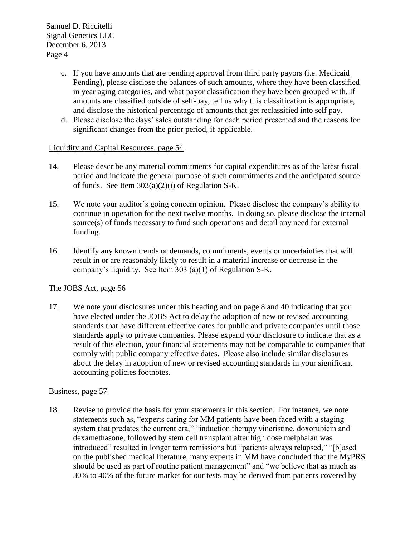- c. If you have amounts that are pending approval from third party payors (i.e. Medicaid Pending), please disclose the balances of such amounts, where they have been classified in year aging categories, and what payor classification they have been grouped with. If amounts are classified outside of self-pay, tell us why this classification is appropriate, and disclose the historical percentage of amounts that get reclassified into self pay.
- d. Please disclose the days' sales outstanding for each period presented and the reasons for significant changes from the prior period, if applicable.

## Liquidity and Capital Resources, page 54

- 14. Please describe any material commitments for capital expenditures as of the latest fiscal period and indicate the general purpose of such commitments and the anticipated source of funds. See Item 303(a)(2)(i) of Regulation S-K.
- 15. We note your auditor's going concern opinion. Please disclose the company's ability to continue in operation for the next twelve months. In doing so, please disclose the internal source(s) of funds necessary to fund such operations and detail any need for external funding.
- 16. Identify any known trends or demands, commitments, events or uncertainties that will result in or are reasonably likely to result in a material increase or decrease in the company's liquidity. See Item 303 (a)(1) of Regulation S-K.

# The JOBS Act, page 56

17. We note your disclosures under this heading and on page 8 and 40 indicating that you have elected under the JOBS Act to delay the adoption of new or revised accounting standards that have different effective dates for public and private companies until those standards apply to private companies. Please expand your disclosure to indicate that as a result of this election, your financial statements may not be comparable to companies that comply with public company effective dates. Please also include similar disclosures about the delay in adoption of new or revised accounting standards in your significant accounting policies footnotes.

### Business, page 57

18. Revise to provide the basis for your statements in this section. For instance, we note statements such as, "experts caring for MM patients have been faced with a staging system that predates the current era," "induction therapy vincristine, doxorubicin and dexamethasone, followed by stem cell transplant after high dose melphalan was introduced" resulted in longer term remissions but "patients always relapsed," "[b]ased on the published medical literature, many experts in MM have concluded that the MyPRS should be used as part of routine patient management" and "we believe that as much as 30% to 40% of the future market for our tests may be derived from patients covered by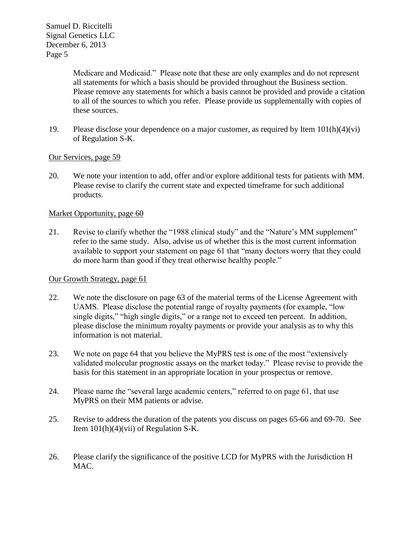> Medicare and Medicaid." Please note that these are only examples and do not represent all statements for which a basis should be provided throughout the Business section. Please remove any statements for which a basis cannot be provided and provide a citation to all of the sources to which you refer. Please provide us supplementally with copies of these sources.

19. Please disclose your dependence on a major customer, as required by Item  $101(h)(4)(vi)$ of Regulation S-K.

### Our Services, page 59

20. We note your intention to add, offer and/or explore additional tests for patients with MM. Please revise to clarify the current state and expected timeframe for such additional products.

## Market Opportunity, page 60

21. Revise to clarify whether the "1988 clinical study" and the "Nature's MM supplement" refer to the same study. Also, advise us of whether this is the most current information available to support your statement on page 61 that "many doctors worry that they could do more harm than good if they treat otherwise healthy people."

### Our Growth Strategy, page 61

- 22. We note the disclosure on page 63 of the material terms of the License Agreement with UAMS. Please disclose the potential range of royalty payments (for example, "low single digits," "high single digits," or a range not to exceed ten percent. In addition, please disclose the minimum royalty payments or provide your analysis as to why this information is not material.
- 23. We note on page 64 that you believe the MyPRS test is one of the most "extensively validated molecular prognostic assays on the market today." Please revise to provide the basis for this statement in an appropriate location in your prospectus or remove.
- 24. Please name the "several large academic centers," referred to on page 61, that use MyPRS on their MM patients or advise.
- 25. Revise to address the duration of the patents you discuss on pages 65-66 and 69-70. See Item  $101(h)(4)(vii)$  of Regulation S-K.
- 26. Please clarify the significance of the positive LCD for MyPRS with the Jurisdiction H MAC.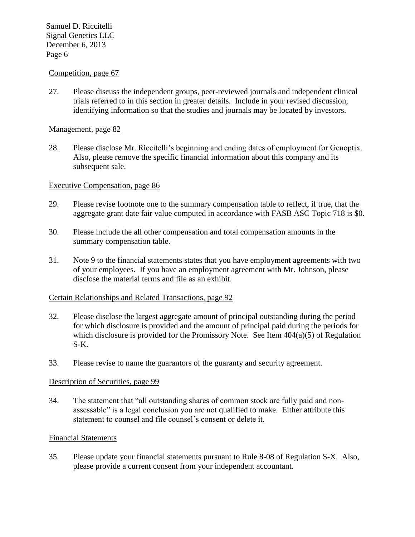#### Competition, page 67

27. Please discuss the independent groups, peer-reviewed journals and independent clinical trials referred to in this section in greater details. Include in your revised discussion, identifying information so that the studies and journals may be located by investors.

#### Management, page 82

28. Please disclose Mr. Riccitelli's beginning and ending dates of employment for Genoptix. Also, please remove the specific financial information about this company and its subsequent sale.

#### Executive Compensation, page 86

- 29. Please revise footnote one to the summary compensation table to reflect, if true, that the aggregate grant date fair value computed in accordance with FASB ASC Topic 718 is \$0.
- 30. Please include the all other compensation and total compensation amounts in the summary compensation table.
- 31. Note 9 to the financial statements states that you have employment agreements with two of your employees. If you have an employment agreement with Mr. Johnson, please disclose the material terms and file as an exhibit.

#### Certain Relationships and Related Transactions, page 92

- 32. Please disclose the largest aggregate amount of principal outstanding during the period for which disclosure is provided and the amount of principal paid during the periods for which disclosure is provided for the Promissory Note. See Item  $404(a)(5)$  of Regulation S-K.
- 33. Please revise to name the guarantors of the guaranty and security agreement.

#### Description of Securities, page 99

34. The statement that "all outstanding shares of common stock are fully paid and nonassessable" is a legal conclusion you are not qualified to make. Either attribute this statement to counsel and file counsel's consent or delete it.

#### Financial Statements

35. Please update your financial statements pursuant to Rule 8-08 of Regulation S-X. Also, please provide a current consent from your independent accountant.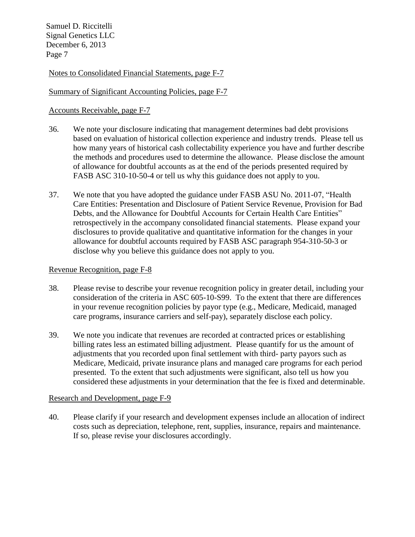Notes to Consolidated Financial Statements, page F-7

## Summary of Significant Accounting Policies, page F-7

## Accounts Receivable, page F-7

- 36. We note your disclosure indicating that management determines bad debt provisions based on evaluation of historical collection experience and industry trends. Please tell us how many years of historical cash collectability experience you have and further describe the methods and procedures used to determine the allowance. Please disclose the amount of allowance for doubtful accounts as at the end of the periods presented required by FASB ASC 310-10-50-4 or tell us why this guidance does not apply to you.
- 37. We note that you have adopted the guidance under FASB ASU No. 2011-07, "Health Care Entities: Presentation and Disclosure of Patient Service Revenue, Provision for Bad Debts, and the Allowance for Doubtful Accounts for Certain Health Care Entities" retrospectively in the accompany consolidated financial statements. Please expand your disclosures to provide qualitative and quantitative information for the changes in your allowance for doubtful accounts required by FASB ASC paragraph 954-310-50-3 or disclose why you believe this guidance does not apply to you.

#### Revenue Recognition, page F-8

- 38. Please revise to describe your revenue recognition policy in greater detail, including your consideration of the criteria in ASC 605-10-S99. To the extent that there are differences in your revenue recognition policies by payor type (e.g., Medicare, Medicaid, managed care programs, insurance carriers and self-pay), separately disclose each policy.
- 39. We note you indicate that revenues are recorded at contracted prices or establishing billing rates less an estimated billing adjustment. Please quantify for us the amount of adjustments that you recorded upon final settlement with third- party payors such as Medicare, Medicaid, private insurance plans and managed care programs for each period presented. To the extent that such adjustments were significant, also tell us how you considered these adjustments in your determination that the fee is fixed and determinable.

### Research and Development, page F-9

40. Please clarify if your research and development expenses include an allocation of indirect costs such as depreciation, telephone, rent, supplies, insurance, repairs and maintenance. If so, please revise your disclosures accordingly.